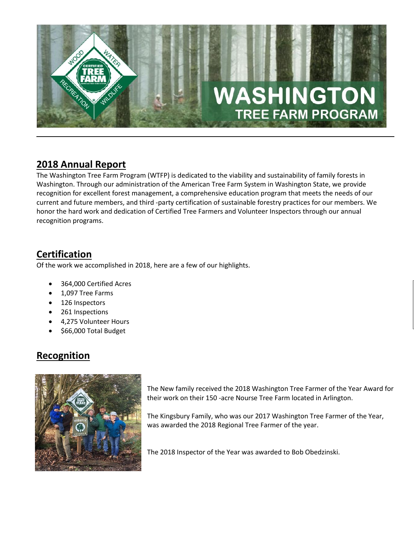

# **2018 Annual Report**

The Washington Tree Farm Program (WTFP) is dedicated to the viability and sustainability of family forests in Washington. Through our administration of the American Tree Farm System in Washington State, we provide recognition for excellent forest management, a comprehensive education program that meets the needs of our current and future members, and third -party certification of sustainable forestry practices for our members. We honor the hard work and dedication of Certified Tree Farmers and Volunteer Inspectors through our annual recognition programs.

# **Certification**

Of the work we accomplished in 2018, here are a few of our highlights.

- 364,000 Certified Acres
- 1,097 Tree Farms
- 126 Inspectors
- 261 Inspections
- 4,275 Volunteer Hours
- \$66,000 Total Budget

## **Recognition**



The New family received the 2018 Washington Tree Farmer of the Year Award for their work on their 150 -acre Nourse Tree Farm located in Arlington.

The Kingsbury Family, who was our 2017 Washington Tree Farmer of the Year, was awarded the 2018 Regional Tree Farmer of the year.

The 2018 Inspector of the Year was awarded to Bob Obedzinski.